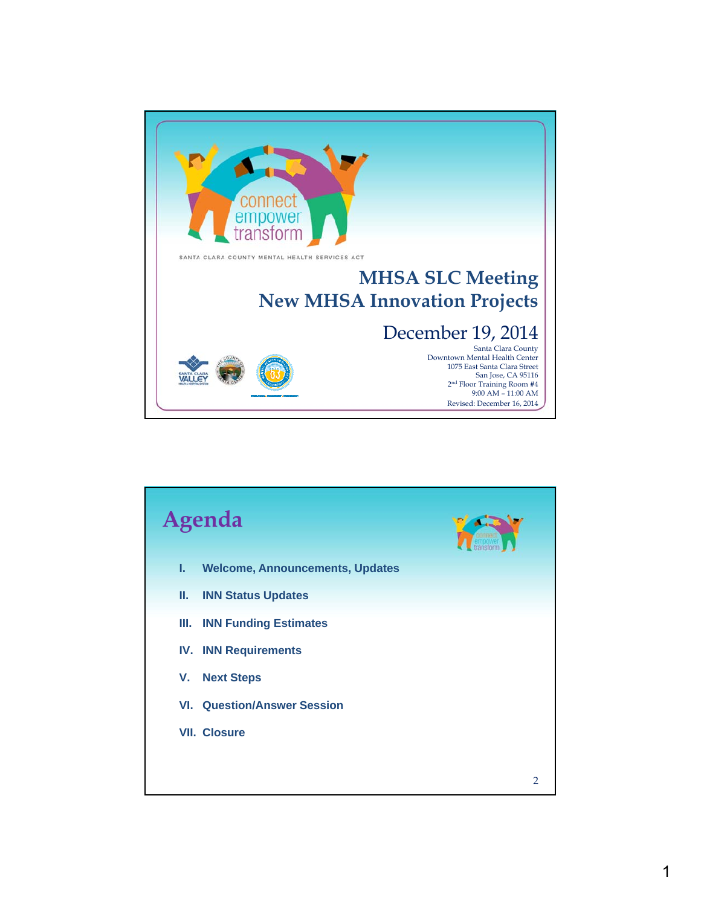

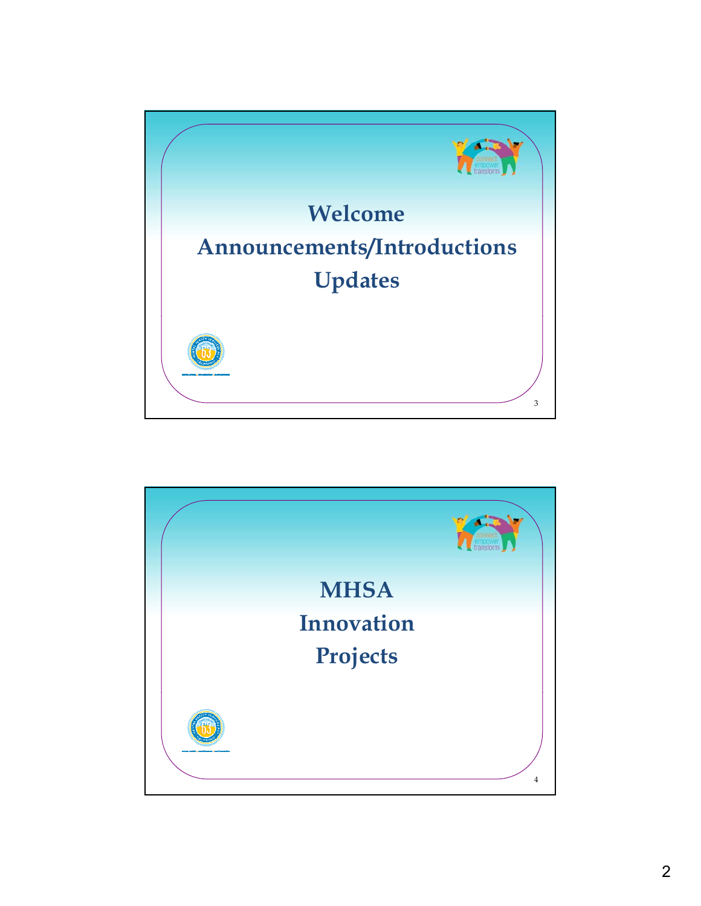

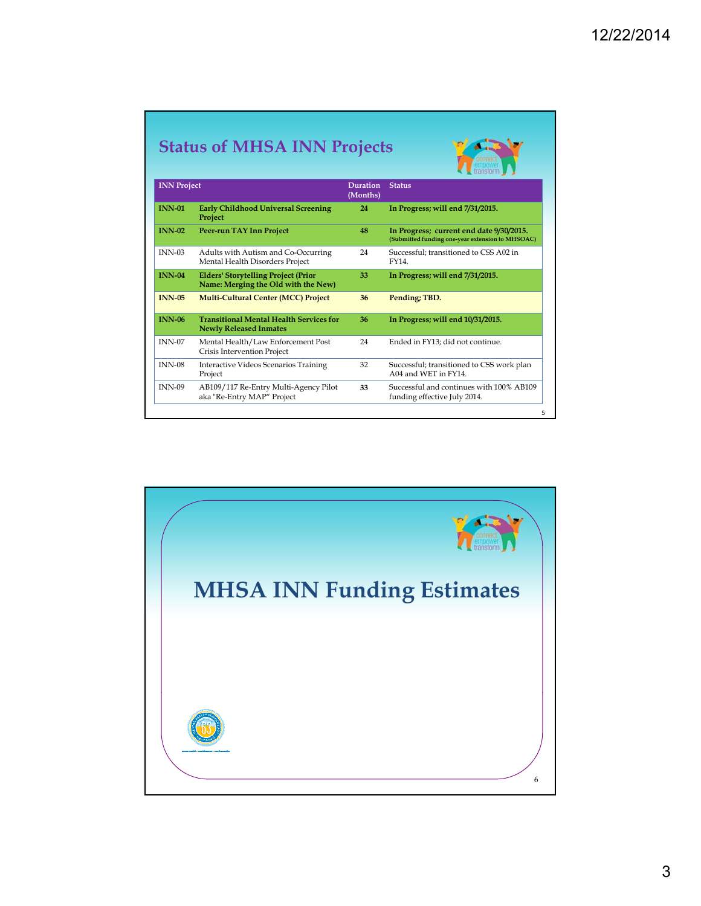|                    | <b>Status of MHSA INN Projects</b>                                                |                             |                                                                                              |
|--------------------|-----------------------------------------------------------------------------------|-----------------------------|----------------------------------------------------------------------------------------------|
| <b>INN Project</b> |                                                                                   | <b>Duration</b><br>(Months) | <b>Status</b>                                                                                |
| <b>INN-01</b>      | <b>Early Childhood Universal Screening</b><br>Project                             | 24                          | In Progress; will end 7/31/2015.                                                             |
| $INN-02$           | <b>Peer-run TAY Inn Project</b>                                                   | 48                          | In Progress; current end date 9/30/2015.<br>(Submitted funding one-year extension to MHSOAC) |
| $INN-03$           | Adults with Autism and Co-Occurring<br>Mental Health Disorders Project            | 24                          | Successful: transitioned to CSS A02 in<br>FY14.                                              |
| $INN-04$           | <b>Elders' Storytelling Project (Prior</b><br>Name: Merging the Old with the New) | 33                          | In Progress; will end 7/31/2015.                                                             |
| <b>INN-05</b>      | <b>Multi-Cultural Center (MCC) Project</b>                                        | 36                          | Pending; TBD.                                                                                |
| <b>INN-06</b>      | <b>Transitional Mental Health Services for</b><br><b>Newly Released Inmates</b>   | 36                          | In Progress; will end 10/31/2015.                                                            |
| <b>INN-07</b>      | Mental Health/Law Enforcement Post<br>Crisis Intervention Project                 | 24                          | Ended in FY13; did not continue.                                                             |
| <b>INN-08</b>      | Interactive Videos Scenarios Training<br>Project                                  | 32                          | Successful; transitioned to CSS work plan<br>A04 and WET in FY14.                            |
| <b>INN-09</b>      | AB109/117 Re-Entry Multi-Agency Pilot<br>aka "Re-Entry MAP" Project               | 33                          | Successful and continues with 100% AB109<br>funding effective July 2014.                     |

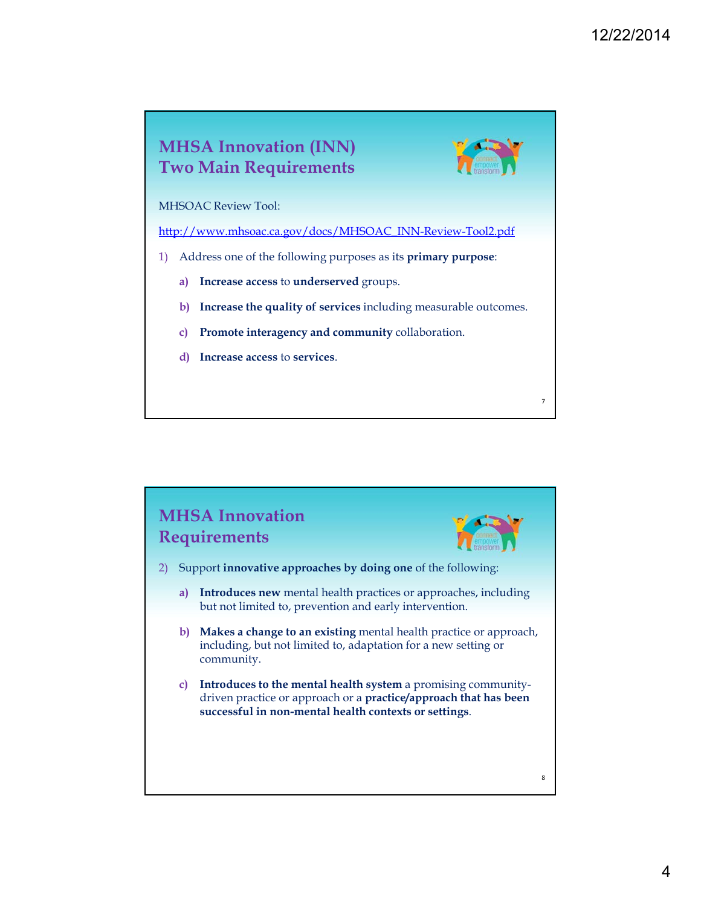

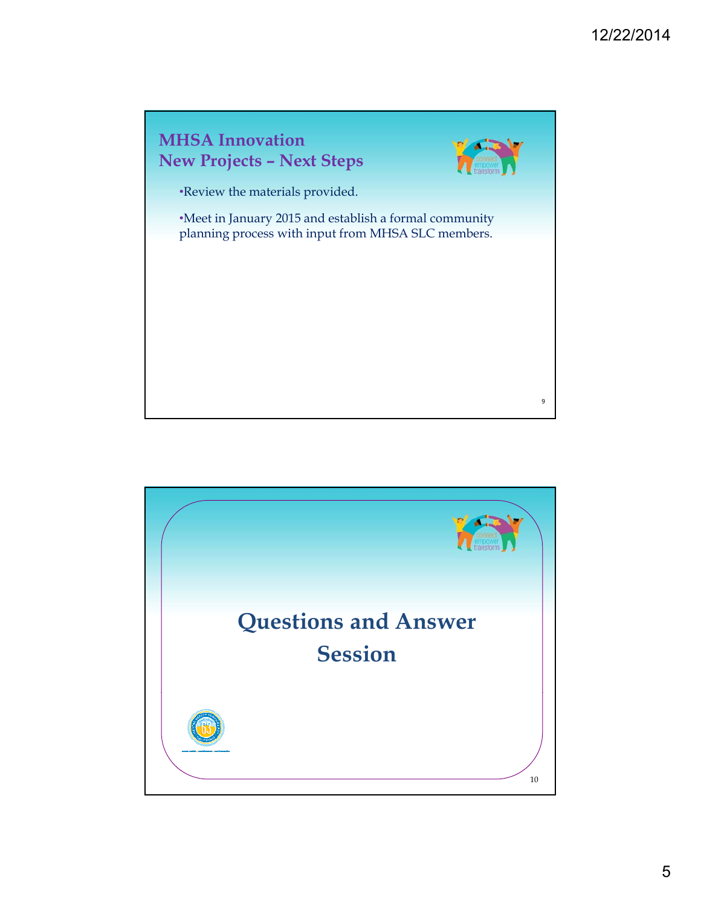